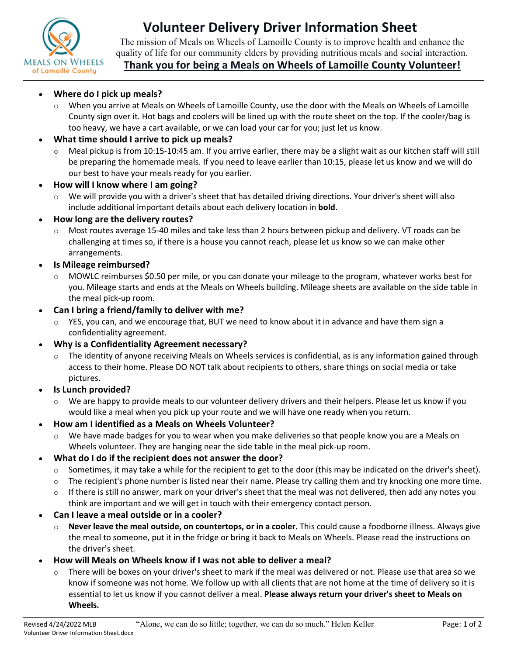

# **Volunteer Delivery Driver Information Sheet**

The mission of Meals on Wheels of Lamoille County is to improve health and enhance the quality of life for our community elders by providing nutritious meals and social interaction.

# **Thank you for being a Meals on Wheels of Lamoille County Volunteer!**

### **Where do I pick up meals?**

o When you arrive at Meals on Wheels of Lamoille County, use the door with the Meals on Wheels of Lamoille County sign over it. Hot bags and coolers will be lined up with the route sheet on the top. If the cooler/bag is too heavy, we have a cart available, or we can load your car for you; just let us know.

# **What time should I arrive to pick up meals?**

- $\circ$  Meal pickup is from 10:15-10:45 am. If you arrive earlier, there may be a slight wait as our kitchen staff will still be preparing the homemade meals. If you need to leave earlier than 10:15, please let us know and we will do our best to have your meals ready for you earlier.
- **How will I know where I am going?** 
	- $\circ$  We will provide you with a driver's sheet that has detailed driving directions. Your driver's sheet will also include additional important details about each delivery location in **bold**.

#### **How long are the delivery routes?**

- o Most routes average 15-40 miles and take less than 2 hours between pickup and delivery. VT roads can be challenging at times so, if there is a house you cannot reach, please let us know so we can make other arrangements.
- **Is Mileage reimbursed?** 
	- o MOWLC reimburses \$0.50 per mile, or you can donate your mileage to the program, whatever works best for you. Mileage starts and ends at the Meals on Wheels building. Mileage sheets are available on the side table in the meal pick-up room.
- **Can I bring a friend/family to deliver with me?** 
	- YES, you can, and we encourage that, BUT we need to know about it in advance and have them sign a confidentiality agreement.
- **Why is a Confidentiality Agreement necessary?** 
	- $\circ$  The identity of anyone receiving Meals on Wheels services is confidential, as is any information gained through access to their home. Please DO NOT talk about recipients to others, share things on social media or take pictures.
- **Is Lunch provided?** 
	- We are happy to provide meals to our volunteer delivery drivers and their helpers. Please let us know if you would like a meal when you pick up your route and we will have one ready when you return.
- **How am I identified as a Meals on Wheels Volunteer?**
	- $\circ$  We have made badges for you to wear when you make deliveries so that people know you are a Meals on Wheels volunteer. They are hanging near the side table in the meal pick-up room.
- **What do I do if the recipient does not answer the door?** 
	- $\circ$  Sometimes, it may take a while for the recipient to get to the door (this may be indicated on the driver's sheet).
	- $\circ$  The recipient's phone number is listed near their name. Please try calling them and try knocking one more time.
	- $\circ$  If there is still no answer, mark on your driver's sheet that the meal was not delivered, then add any notes you think are important and we will get in touch with their emergency contact person.
- **Can I leave a meal outside or in a cooler?** 
	- o **Never leave the meal outside, on countertops, or in a cooler.** This could cause a foodborne illness. Always give the meal to someone, put it in the fridge or bring it back to Meals on Wheels. Please read the instructions on the driver's sheet.
- **How will Meals on Wheels know if I was not able to deliver a meal?** 
	- $\circ$  There will be boxes on your driver's sheet to mark if the meal was delivered or not. Please use that area so we know if someone was not home. We follow up with all clients that are not home at the time of delivery so it is essential to let us know if you cannot deliver a meal. **Please always return your driver's sheet to Meals on Wheels.**